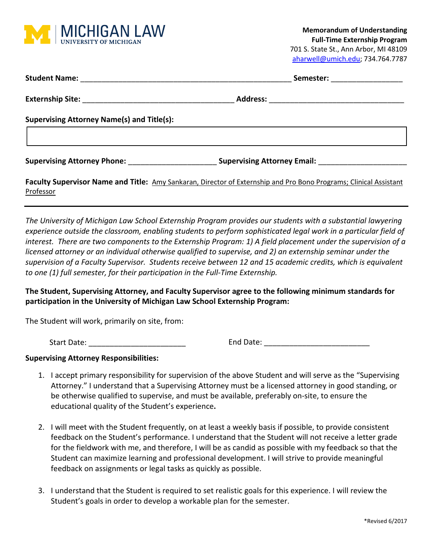

|                                                                                                                   | Semester: _________________                                    |  |
|-------------------------------------------------------------------------------------------------------------------|----------------------------------------------------------------|--|
|                                                                                                                   |                                                                |  |
| <b>Supervising Attorney Name(s) and Title(s):</b>                                                                 |                                                                |  |
| Supervising Attorney Phone: ___________________                                                                   | <b>Supervising Attorney Email:</b> Supervising Attorney Email: |  |
| Foculty Cuponicon Nome and Title: Appy Capicines, Director of Estematic and Die Dena Directors: Clinical Accident |                                                                |  |

**Faculty Supervisor Name and Title:** Amy Sankaran, Director of Externship and Pro Bono Programs; Clinical Assistant Professor

*The University of Michigan Law School Externship Program provides our students with a substantial lawyering experience outside the classroom, enabling students to perform sophisticated legal work in a particular field of interest. There are two components to the Externship Program: 1) A field placement under the supervision of a licensed attorney or an individual otherwise qualified to supervise, and 2) an externship seminar under the supervision of a Faculty Supervisor. Students receive between 12 and 15 academic credits, which is equivalent to one (1) full semester, for their participation in the Full-Time Externship.*

## **The Student, Supervising Attorney, and Faculty Supervisor agree to the following minimum standards for participation in the University of Michigan Law School Externship Program:**

The Student will work, primarily on site, from:

Start Date: The Contract of the Contract of Contract End Date:  $\Box$  End Date:  $\Box$ 

## **Supervising Attorney Responsibilities:**

- 1. I accept primary responsibility for supervision of the above Student and will serve as the "Supervising Attorney." I understand that a Supervising Attorney must be a licensed attorney in good standing, or be otherwise qualified to supervise, and must be available, preferably on-site, to ensure the educational quality of the Student's experience**.**
- 2. I will meet with the Student frequently, on at least a weekly basis if possible, to provide consistent feedback on the Student's performance. I understand that the Student will not receive a letter grade for the fieldwork with me, and therefore, I will be as candid as possible with my feedback so that the Student can maximize learning and professional development. I will strive to provide meaningful feedback on assignments or legal tasks as quickly as possible.
- 3. I understand that the Student is required to set realistic goals for this experience. I will review the Student's goals in order to develop a workable plan for the semester.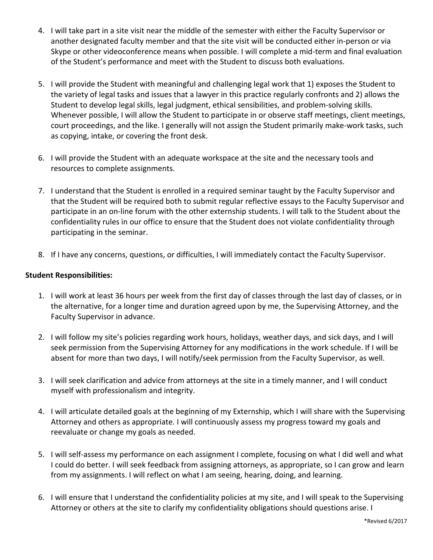- 4. I will take part in a site visit near the middle of the semester with either the Faculty Supervisor or another designated faculty member and that the site visit will be conducted either in-person or via Skype or other videoconference means when possible. I will complete a mid-term and final evaluation of the Student's performance and meet with the Student to discuss both evaluations.
- 5. I will provide the Student with meaningful and challenging legal work that 1) exposes the Student to the variety of legal tasks and issues that a lawyer in this practice regularly confronts and 2) allows the Student to develop legal skills, legal judgment, ethical sensibilities, and problem-solving skills. Whenever possible, I will allow the Student to participate in or observe staff meetings, client meetings, court proceedings, and the like. I generally will not assign the Student primarily make-work tasks, such as copying, intake, or covering the front desk.
- 6. I will provide the Student with an adequate workspace at the site and the necessary tools and resources to complete assignments.
- 7. I understand that the Student is enrolled in a required seminar taught by the Faculty Supervisor and that the Student will be required both to submit regular reflective essays to the Faculty Supervisor and participate in an on-line forum with the other externship students. I will talk to the Student about the confidentiality rules in our office to ensure that the Student does not violate confidentiality through participating in the seminar.
- 8. If I have any concerns, questions, or difficulties, I will immediately contact the Faculty Supervisor.

## **Student Responsibilities:**

- 1. I will work at least 36 hours per week from the first day of classes through the last day of classes, or in the alternative, for a longer time and duration agreed upon by me, the Supervising Attorney, and the Faculty Supervisor in advance.
- 2. I will follow my site's policies regarding work hours, holidays, weather days, and sick days, and I will seek permission from the Supervising Attorney for any modifications in the work schedule. If I will be absent for more than two days, I will notify/seek permission from the Faculty Supervisor, as well.
- 3. I will seek clarification and advice from attorneys at the site in a timely manner, and I will conduct myself with professionalism and integrity.
- 4. I will articulate detailed goals at the beginning of my Externship, which I will share with the Supervising Attorney and others as appropriate. I will continuously assess my progress toward my goals and reevaluate or change my goals as needed.
- 5. I will self-assess my performance on each assignment I complete, focusing on what I did well and what I could do better. I will seek feedback from assigning attorneys, as appropriate, so I can grow and learn from my assignments. I will reflect on what I am seeing, hearing, doing, and learning.
- 6. I will ensure that I understand the confidentiality policies at my site, and I will speak to the Supervising Attorney or others at the site to clarify my confidentiality obligations should questions arise. I